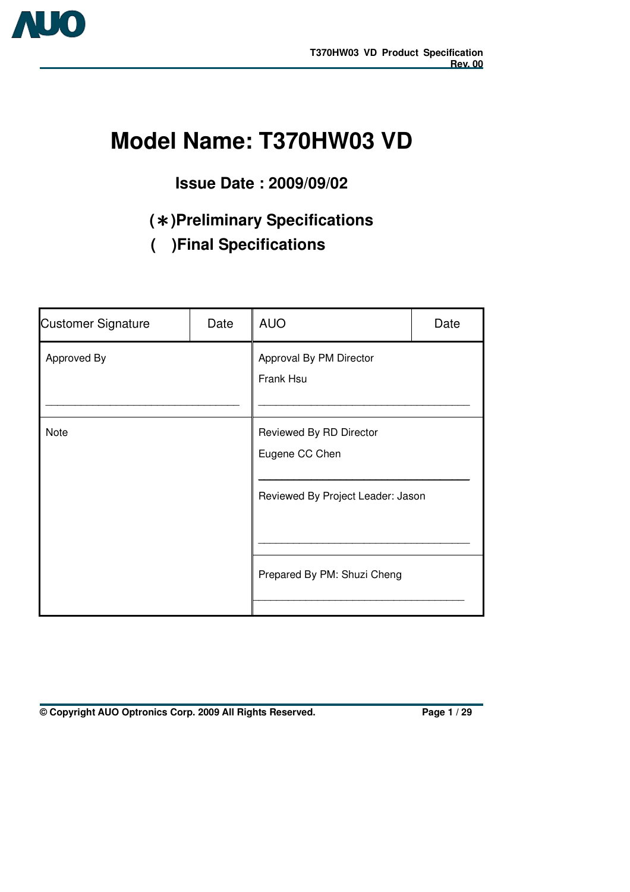

# **Model Name: T370HW03 VD**

## **Issue Date : 2009/09/02**

## **(**!**)Preliminary Specifications**

**( )Final Specifications** 

| <b>Customer Signature</b> | Date | <b>AUO</b>                                                                                                    | Date |  |  |  |  |  |
|---------------------------|------|---------------------------------------------------------------------------------------------------------------|------|--|--|--|--|--|
| Approved By               |      | Approval By PM Director<br>Frank Hsu                                                                          |      |  |  |  |  |  |
| Note                      |      | Reviewed By RD Director<br>Eugene CC Chen<br>Reviewed By Project Leader: Jason<br>Prepared By PM: Shuzi Cheng |      |  |  |  |  |  |
|                           |      |                                                                                                               |      |  |  |  |  |  |

**© Copyright AUO Optronics Corp. 2009 All Rights Reserved. Page 1 / 29**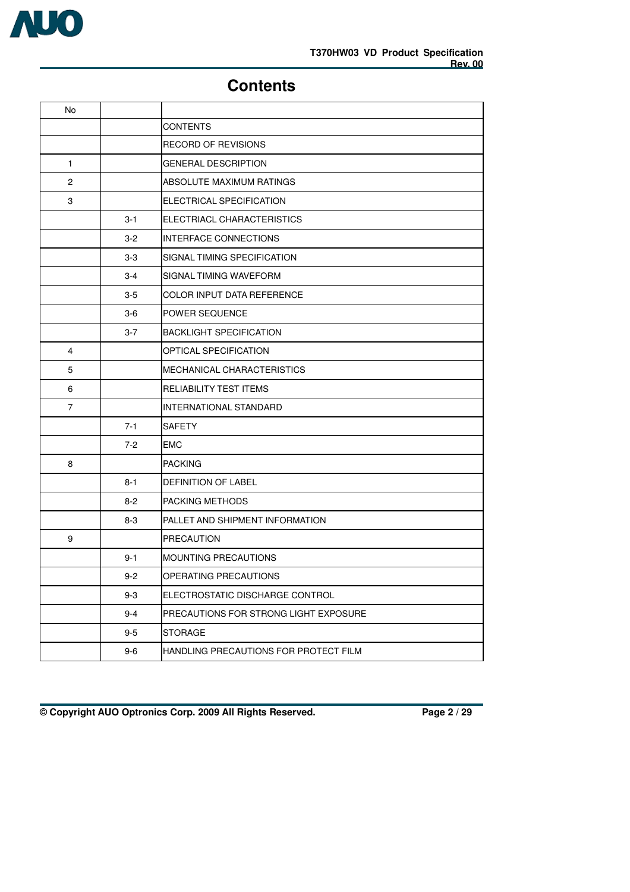

 $\overline{\phantom{0}}$ 

## **Contents**

|         | <b>CONTENTS</b>                       |
|---------|---------------------------------------|
|         | RECORD OF REVISIONS                   |
|         | <b>GENERAL DESCRIPTION</b>            |
|         | ABSOLUTE MAXIMUM RATINGS              |
|         | ELECTRICAL SPECIFICATION              |
| $3 - 1$ | ELECTRIACL CHARACTERISTICS            |
| $3 - 2$ | <b>INTERFACE CONNECTIONS</b>          |
| $3-3$   | SIGNAL TIMING SPECIFICATION           |
| $3 - 4$ | SIGNAL TIMING WAVEFORM                |
| $3-5$   | COLOR INPUT DATA REFERENCE            |
| $3-6$   | <b>POWER SEQUENCE</b>                 |
| $3 - 7$ | <b>BACKLIGHT SPECIFICATION</b>        |
|         | OPTICAL SPECIFICATION                 |
|         | MECHANICAL CHARACTERISTICS            |
|         | RELIABILITY TEST ITEMS                |
|         | <b>INTERNATIONAL STANDARD</b>         |
| $7 - 1$ | <b>SAFETY</b>                         |
| $7 - 2$ | EMC                                   |
|         | <b>PACKING</b>                        |
| $8 - 1$ | <b>DEFINITION OF LABEL</b>            |
| $8 - 2$ | <b>PACKING METHODS</b>                |
| $8 - 3$ | PALLET AND SHIPMENT INFORMATION       |
|         | <b>PRECAUTION</b>                     |
| $9 - 1$ | <b>MOUNTING PRECAUTIONS</b>           |
| $9 - 2$ | OPERATING PRECAUTIONS                 |
| $9 - 3$ | ELECTROSTATIC DISCHARGE CONTROL       |
| $9 - 4$ | PRECAUTIONS FOR STRONG LIGHT EXPOSURE |
| $9 - 5$ | <b>STORAGE</b>                        |
| $9-6$   | HANDLING PRECAUTIONS FOR PROTECT FILM |
|         |                                       |

**© Copyright AUO Optronics Corp. 2009 All Rights Reserved. Page 2 / 29**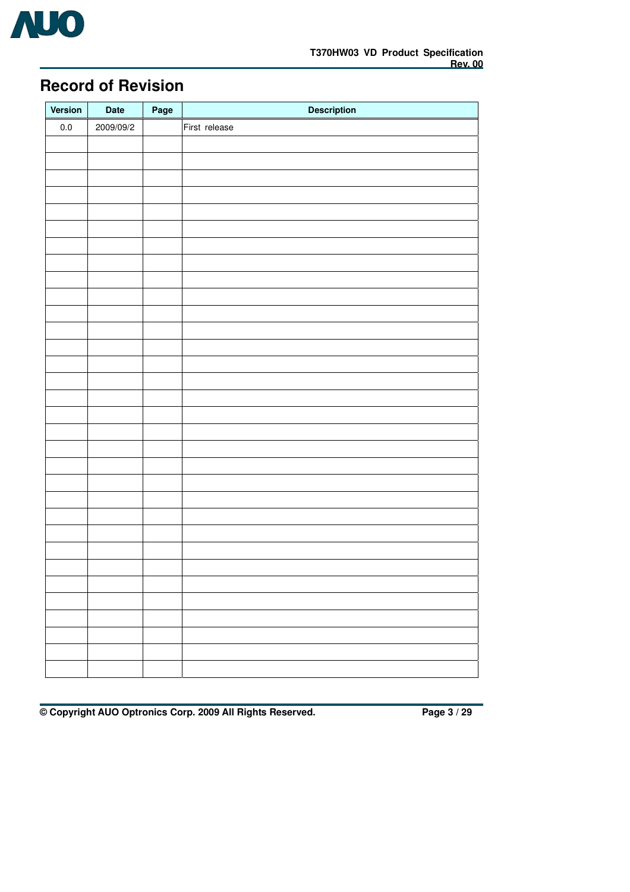

## **Record of Revision**

| Version | Date      | Page | <b>Description</b> |
|---------|-----------|------|--------------------|
| $0.0\,$ | 2009/09/2 |      | First release      |
|         |           |      |                    |
|         |           |      |                    |
|         |           |      |                    |
|         |           |      |                    |
|         |           |      |                    |
|         |           |      |                    |
|         |           |      |                    |
|         |           |      |                    |
|         |           |      |                    |
|         |           |      |                    |
|         |           |      |                    |
|         |           |      |                    |
|         |           |      |                    |
|         |           |      |                    |
|         |           |      |                    |
|         |           |      |                    |
|         |           |      |                    |
|         |           |      |                    |
|         |           |      |                    |
|         |           |      |                    |
|         |           |      |                    |
|         |           |      |                    |
|         |           |      |                    |
|         |           |      |                    |
|         |           |      |                    |
|         |           |      |                    |
|         |           |      |                    |
|         |           |      |                    |
|         |           |      |                    |
|         |           |      |                    |
|         |           |      |                    |
|         |           |      |                    |

**© Copyright AUO Optronics Corp. 2009 All Rights Reserved. Page 3 / 29**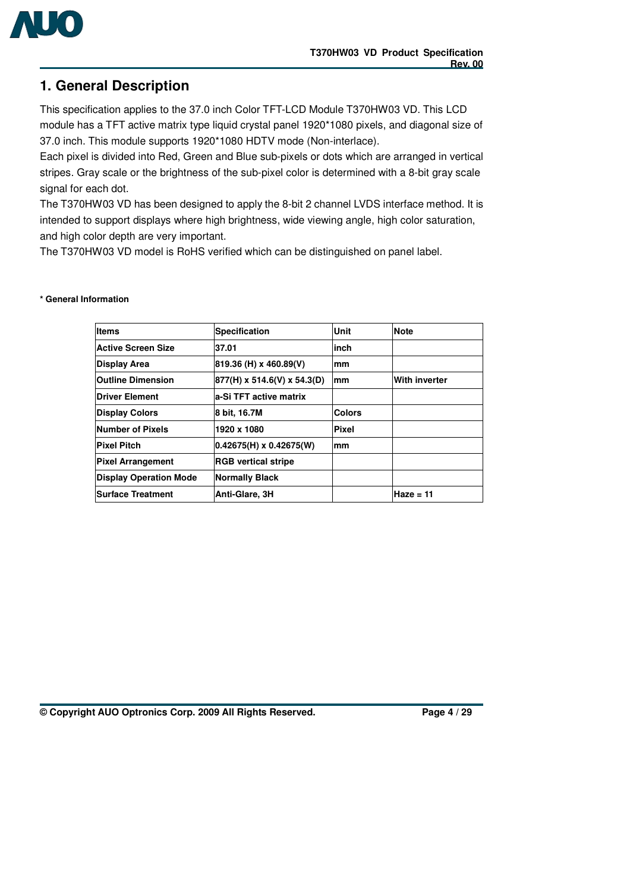

## **1. General Description**

This specification applies to the 37.0 inch Color TFT-LCD Module T370HW03 VD. This LCD module has a TFT active matrix type liquid crystal panel 1920\*1080 pixels, and diagonal size of 37.0 inch. This module supports 1920\*1080 HDTV mode (Non-interlace).

Each pixel is divided into Red, Green and Blue sub-pixels or dots which are arranged in vertical stripes. Gray scale or the brightness of the sub-pixel color is determined with a 8-bit gray scale signal for each dot.

The T370HW03 VD has been designed to apply the 8-bit 2 channel LVDS interface method. It is intended to support displays where high brightness, wide viewing angle, high color saturation, and high color depth are very important.

The T370HW03 VD model is RoHS verified which can be distinguished on panel label.

| <b>Items</b>                  | Specification               | Unit          | <b>Note</b>   |
|-------------------------------|-----------------------------|---------------|---------------|
| <b>Active Screen Size</b>     | 37.01                       | inch          |               |
| <b>Display Area</b>           | 819.36 (H) x 460.89(V)      | mm            |               |
| <b>Outline Dimension</b>      | 877(H) x 514.6(V) x 54.3(D) | mm            | With inverter |
| <b>Driver Element</b>         | la-Si TFT active matrix     |               |               |
| <b>Display Colors</b>         | 8 bit, 16.7M                | <b>Colors</b> |               |
| Number of Pixels              | 1920 x 1080                 | <b>Pixel</b>  |               |
| <b>Pixel Pitch</b>            | $0.42675(H)$ x 0.42675(W)   | mm            |               |
| <b>Pixel Arrangement</b>      | <b>RGB vertical stripe</b>  |               |               |
| <b>Display Operation Mode</b> | Normally Black              |               |               |
| <b>Surface Treatment</b>      | Anti-Glare, 3H              |               | Haze = 11     |

#### **\* General Information**

**© Copyright AUO Optronics Corp. 2009 All Rights Reserved. Page 4 / 29**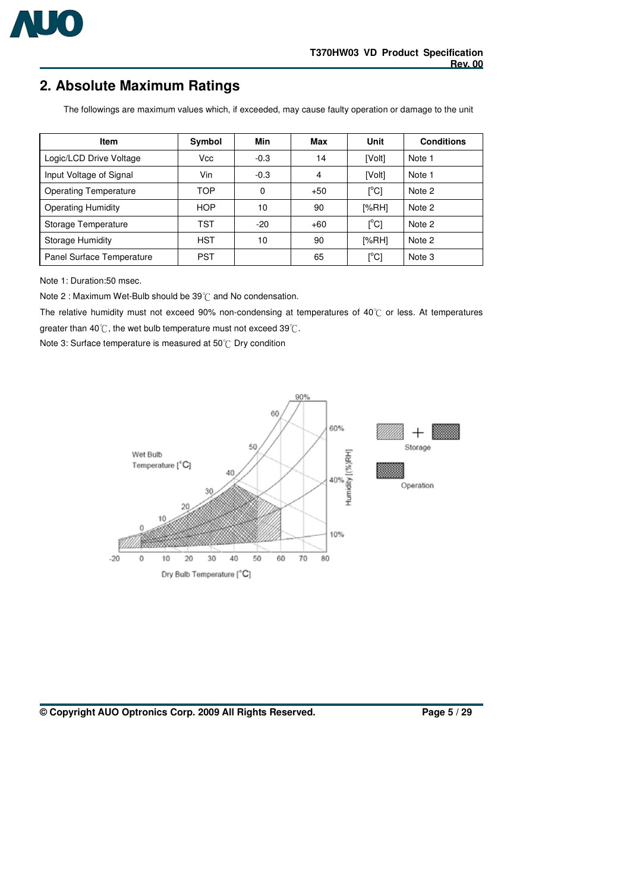

## **2. Absolute Maximum Ratings**

The followings are maximum values which, if exceeded, may cause faulty operation or damage to the unit

| Item                         | Symbol     | Min    | Max   | Unit                      | <b>Conditions</b> |
|------------------------------|------------|--------|-------|---------------------------|-------------------|
| Logic/LCD Drive Voltage      | Vcc        | $-0.3$ | 14    | [Volt]                    | Note 1            |
| Input Voltage of Signal      | Vin        | $-0.3$ | 4     | [Volt]                    | Note 1            |
| <b>Operating Temperature</b> | TOP        | 0      | $+50$ | [°C]                      | Note 2            |
| <b>Operating Humidity</b>    | <b>HOP</b> | 10     | 90    | [%RH]                     | Note 2            |
| Storage Temperature          | TST        | $-20$  | $+60$ | $\lceil{^{\circ}C}\rceil$ | Note 2            |
| Storage Humidity             | <b>HST</b> | 10     | 90    | [%RH]                     | Note 2            |
| Panel Surface Temperature    | <b>PST</b> |        | 65    | $\lceil{^{\circ}C}\rceil$ | Note 3            |

Note 1: Duration:50 msec.

Note 2 : Maximum Wet-Bulb should be  $39^{\circ}$ C and No condensation.

The relative humidity must not exceed 90% non-condensing at temperatures of  $40^{\circ}$ C or less. At temperatures greater than  $40^{\circ}$ C, the wet bulb temperature must not exceed 39 $^{\circ}$ C.

Note 3: Surface temperature is measured at 50°C Dry condition



#### **© Copyright AUO Optronics Corp. 2009 All Rights Reserved. Page 5 / 29**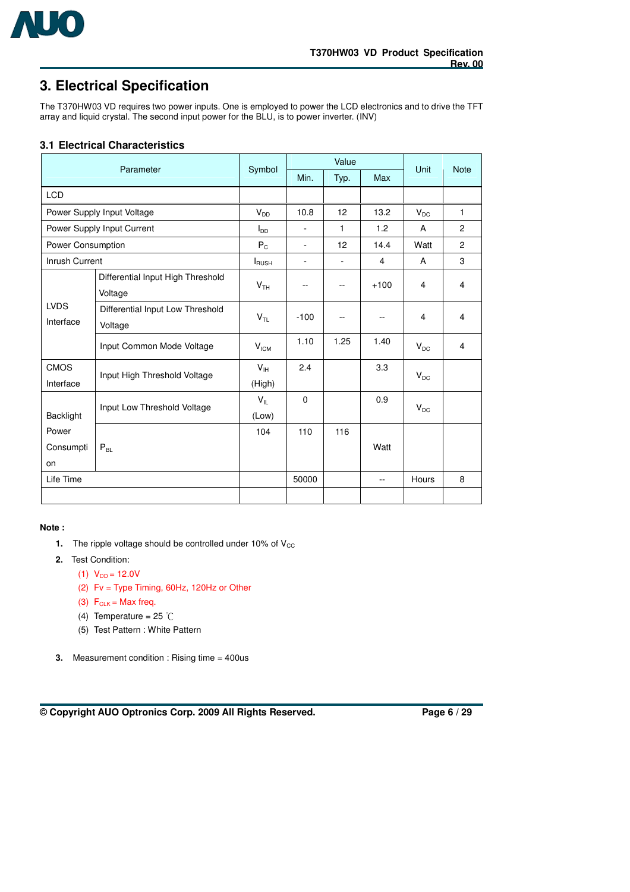

## **3. Electrical Specification**

The T370HW03 VD requires two power inputs. One is employed to power the LCD electronics and to drive the TFT array and liquid crystal. The second input power for the BLU, is to power inverter. (INV)

### **3.1 Electrical Characteristics**

|                          | Parameter                                    | Symbol                    |                          | Value | Unit           | <b>Note</b> |                         |
|--------------------------|----------------------------------------------|---------------------------|--------------------------|-------|----------------|-------------|-------------------------|
|                          |                                              |                           | Min.                     | Typ.  | <b>Max</b>     |             |                         |
| <b>LCD</b>               |                                              |                           |                          |       |                |             |                         |
|                          | Power Supply Input Voltage                   | $V_{DD}$                  | 10.8                     | 12    | 13.2           | $V_{DC}$    | $\mathbf{1}$            |
|                          | Power Supply Input Current                   | $I_{DD}$                  | $\overline{\phantom{a}}$ | 1     | 1.2            | A           | $\overline{2}$          |
| Power Consumption        |                                              | $P_{C}$                   | $\overline{\phantom{a}}$ | 12    | 14.4           | Watt        | $\overline{2}$          |
| <b>Inrush Current</b>    |                                              | <b>I</b> RUSH             | ٠                        | ٠     | 4              | A           | 3                       |
|                          | Differential Input High Threshold<br>Voltage | V <sub>TH</sub>           | ۰.                       | $-1$  | $+100$         | 4           | 4                       |
| <b>LVDS</b><br>Interface | Differential Input Low Threshold<br>Voltage  | V <sub>TL</sub>           | $-100$                   | $-1$  |                | 4           | $\overline{\mathbf{4}}$ |
|                          | Input Common Mode Voltage                    | V <sub>ICM</sub>          | 1.10                     | 1.25  | 1.40           | $V_{DC}$    | 4                       |
| <b>CMOS</b><br>Interface | Input High Threshold Voltage                 | V <sub>IH</sub><br>(High) | 2.4                      |       | 3.3            | $V_{DC}$    |                         |
| <b>Backlight</b>         | Input Low Threshold Voltage                  | $V_{IL}$<br>(Low)         | $\Omega$                 |       | 0.9            | $V_{DC}$    |                         |
| Power                    |                                              | 104                       | 110                      | 116   |                |             |                         |
| Consumpti<br>$P_{BL}$    |                                              |                           |                          |       | Watt           |             |                         |
| on                       |                                              |                           |                          |       |                |             |                         |
| Life Time                |                                              |                           | 50000                    |       | $\overline{a}$ | Hours       | 8                       |
|                          |                                              |                           |                          |       |                |             |                         |

#### **Note :**

- **1.** The ripple voltage should be controlled under  $10\%$  of  $V_{CC}$
- **2.** Test Condition:
	- (1)  $V_{DD} = 12.0V$
	- (2) Fv = Type Timing, 60Hz, 120Hz or Other
	- (3)  $F_{CLK} = Max freq.$
	- (4) Temperature =  $25^{\circ}$ C
	- (5) Test Pattern : White Pattern
- **3.** Measurement condition : Rising time = 400us

**© Copyright AUO Optronics Corp. 2009 All Rights Reserved. Page 6 / 29**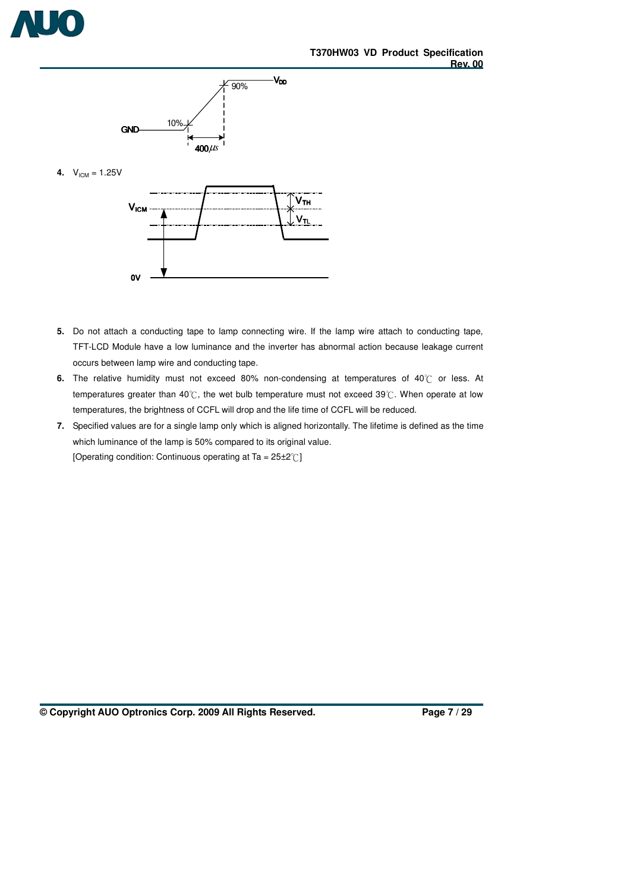



**4.**  $V_{ICM} = 1.25V$ 



- **5.** Do not attach a conducting tape to lamp connecting wire. If the lamp wire attach to conducting tape, TFT-LCD Module have a low luminance and the inverter has abnormal action because leakage current occurs between lamp wire and conducting tape.
- 6. The relative humidity must not exceed 80% non-condensing at temperatures of 40°C or less. At temperatures greater than 40°C, the wet bulb temperature must not exceed 39°C. When operate at low temperatures, the brightness of CCFL will drop and the life time of CCFL will be reduced.
- **7.** Specified values are for a single lamp only which is aligned horizontally. The lifetime is defined as the time which luminance of the lamp is 50% compared to its original value. [Operating condition: Continuous operating at Ta =  $25\pm2^{\circ}$ ]

**© Copyright AUO Optronics Corp. 2009 All Rights Reserved. Page 7 / 29**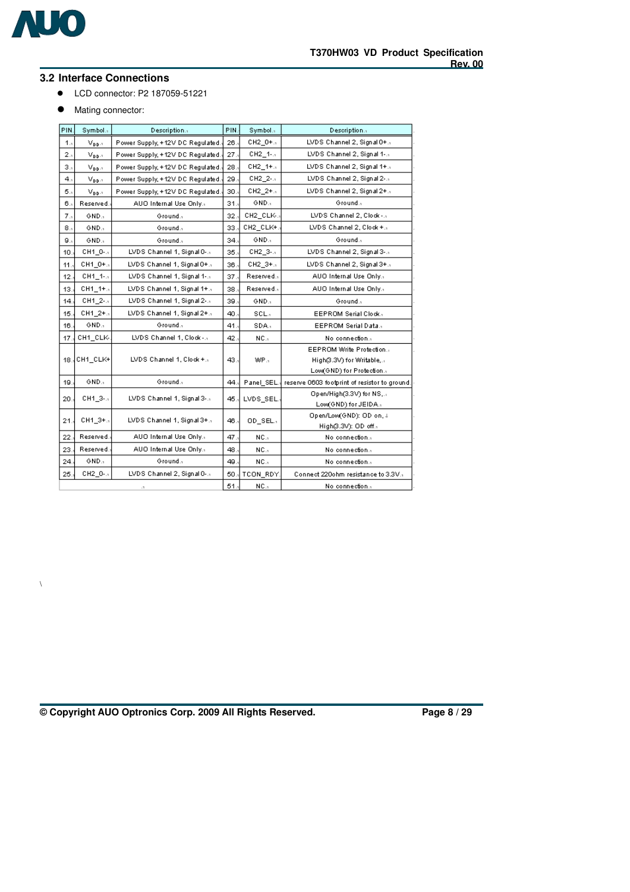

\

### **3.2 Interface Connections**

- ! LCD connector: P2 187059-51221
- $\bullet$  Mating connector:

| PIN.           | Symbol.s                        | Description                      | PIN. | Symbol.s         | Description.1                                |
|----------------|---------------------------------|----------------------------------|------|------------------|----------------------------------------------|
| 1.1            | $V_{\text{DD-1}}$               | Power Supply, +12V DC Regulated. | 26., | CH2 0+.1         | LVDS Channel 2, Signal 0+.1                  |
| 2.,            | $V_{\mathbf{D}\mathbf{D}^{11}}$ | Power Supply, +12V DC Regulated. | 27.  | CH2_1-.1         | LVDS Channel 2, Signal 1-.-                  |
| 3.,            | $V_{\mathbf{D}\mathbf{D}^{11}}$ | Power Supply, +12V DC Regulated. | 28.5 | $CH2_{-}1 + .$   | LVDS Channel 2, Signal 1+.1                  |
| $4_{11}$       | $V_{\text{DD}}$ .               | Power Supply, +12V DC Regulated  | 29.  | CH2_2-.1         | LVDS Channel 2, Signal 2-.1                  |
| 5.,            | $V_{\mathbf{D}\mathbf{D}^{11}}$ | Power Supply, +12V DC Regulated  | 30., | $CH2 - 2 + .5$   | LVDS Channel 2, Signal 2+.1                  |
| 6.,            | Reserved.                       | AUO Internal Use Only.1          | 31.  | GND.1            | Ground.1                                     |
| 7 <sub>1</sub> | GND <sub>2</sub>                | Ground.1                         | 32., | CH2_CLK-.        | LVDS Channel 2, Clock -                      |
| 8.,            | GND.1                           | Ground.1                         | 33.  | CH2_CLK+.        | LVDS Channel 2, Clock +.1                    |
| 9.,            | GND.                            | Ground.1                         | 34., | GND.1            | Ground <sub>a</sub>                          |
| 10.            | CH1_0-.1                        | LVDS Channel 1, Signal 0-5       | 35.  | CH2_3-.1         | LVDS Channel 2, Signal 3- a                  |
| 11.            | CH1_0+.1                        | LVDS Channel 1, Signal 0+.1      | 36.  | CH2_3+.1         | LVDS Channel 2, Signal 3+.1                  |
| 12.            | CH1_1-.1                        | LVDS Channel 1, Signal 1-5       | 37.  | Reserved         | AUO Internal Use Only                        |
| 13.            | CH1 1+.                         | LVDS Channel 1, Signal 1+.1      | 38.  | Reserved.        | AUO Internal Use Only.1                      |
| 14.            | CH1_2-.1                        | LVDS Channel 1, Signal 2-.1      | 39.  | GND.             | Ground. <sub>1</sub>                         |
| 15.            | CH1_2+.1                        | LVDS Channel 1, Signal 2+.1      | 40.  | SCL <sub>1</sub> | EEPROM Serial Clock.                         |
| 16.            | GND.1                           | Ground. <sub>1</sub>             | 41.  | SDA.             | EEPROM Serial Data.                          |
| 17.            | CH1 CLK-                        | LVDS Channel 1, Clock -          | 42.  | NC.              | No connection                                |
|                |                                 |                                  |      |                  | EEPROM Write Protection                      |
| 18.1           | CH1 CLK+                        | LVDS Channel 1, Clock +.1        | 43., | WP.              | High(3.3V) for Writable,                     |
|                |                                 |                                  |      |                  | Low(GND) for Protection                      |
| 19.            | GND.                            | Ground. <sub>1</sub>             | 44.  | Panel_SEL        | reserve 0603 footprint of resistor to ground |
| 20.            | CH1_3-.1                        | LVDS Channel 1, Signal 3-.-      | 45., | LVDS SEL.        | Open/High(3.3V) for NS                       |
|                |                                 |                                  |      |                  | Low(GND) for JEIDA.                          |
| 21.            | CH1_3+.1                        | LVDS Channel 1, Signal 3+.1      | 46., | OD_SEL.          | Open/Low(GND): OD on, 4                      |
| 22.            | Reserved.                       | AUO Internal Use Only.           | 47.  | NC.,             | High(3.3V): OD off.,<br>No connection        |
|                |                                 |                                  |      |                  |                                              |
| 23.            | Reserved.                       | AUO Internal Use Only.1          | 48.  | NC.              | No connection                                |
| 24.            | GND.                            | Ground.1                         | 49.  | NC.              | No connection                                |
| 25.            | CH2_0-.1                        | LVDS Channel 2, Signal 0-5       | 50   | TCON RDY.        | Connect 220ohm resistance to 3.3V.           |
|                |                                 | $\cdot$ 1                        | 51.1 | NC.              | No connection                                |

**© Copyright AUO Optronics Corp. 2009 All Rights Reserved. Page 8 / 29**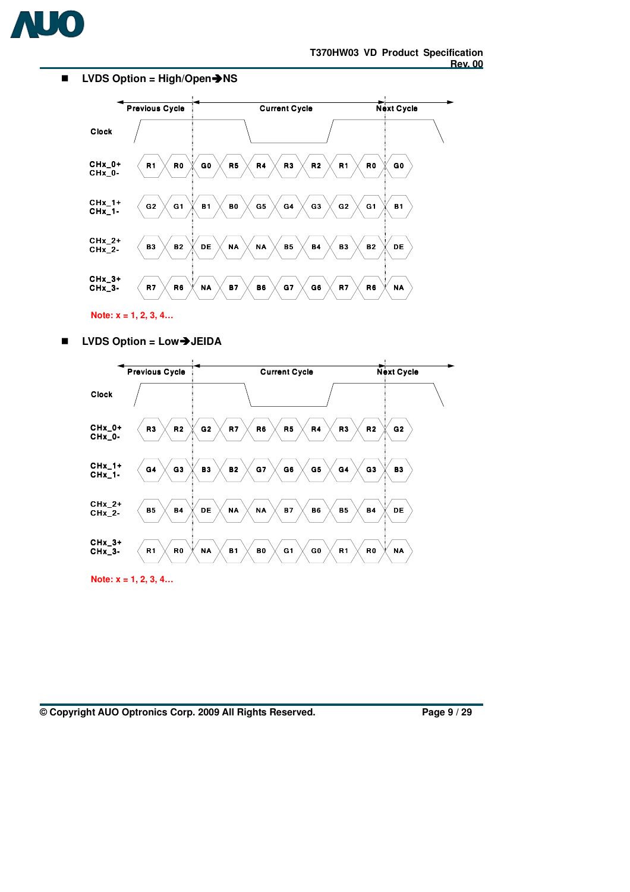

#### ■ LVDS Option = High/Open→NS



**Note: x = 1, 2, 3, 4…** 

■ LVDS Option = Low→JEIDA



**Note: x = 1, 2, 3, 4…** 

**© Copyright AUO Optronics Corp. 2009 All Rights Reserved. Page 9 / 29**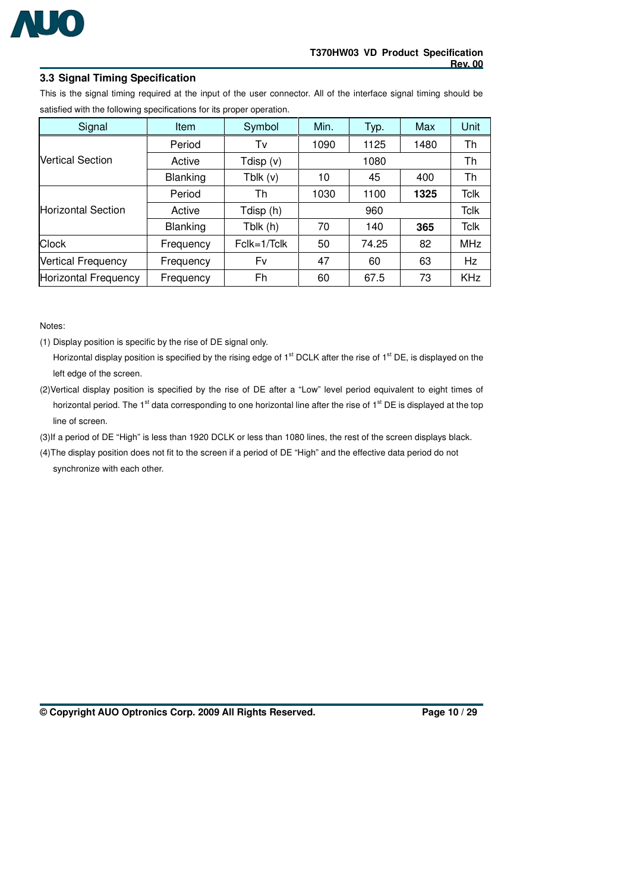

### **3.3 Signal Timing Specification**

This is the signal timing required at the input of the user connector. All of the interface signal timing should be satisfied with the following specifications for its proper operation.

| Signal                      | <b>Item</b>     | Symbol        | Min. | Typ.  | Max  | <b>Unit</b> |  |  |
|-----------------------------|-----------------|---------------|------|-------|------|-------------|--|--|
|                             | Period          | Tv            | 1090 | 1125  | 1480 | Th          |  |  |
| <b>Vertical Section</b>     | Active          | Tdisp $(v)$   |      | 1080  |      |             |  |  |
|                             | <b>Blanking</b> | Tblk(v)       | 10   | 45    | 400  | Th          |  |  |
|                             | Period          | Th            | 1030 | 1100  | 1325 | Tclk        |  |  |
| <b>Horizontal Section</b>   | Active          | Tdisp (h)     |      |       | Tclk |             |  |  |
|                             | <b>Blanking</b> | Tblk (h)      | 70   | 140   | 365  | <b>Tclk</b> |  |  |
| <b>Clock</b>                | Frequency       | $Fclk=1/Tclk$ | 50   | 74.25 | 82   | <b>MHz</b>  |  |  |
| <b>Vertical Frequency</b>   | Frequency       | Fv            | 47   | 60    | 63   | Hz          |  |  |
| <b>Horizontal Frequency</b> | Frequency       | Fh            | 60   | 67.5  | 73   | <b>KHz</b>  |  |  |

Notes:

(1) Display position is specific by the rise of DE signal only.

Horizontal display position is specified by the rising edge of 1<sup>st</sup> DCLK after the rise of 1<sup>st</sup> DE, is displayed on the left edge of the screen.

(2)Vertical display position is specified by the rise of DE after a "Low" level period equivalent to eight times of horizontal period. The 1<sup>st</sup> data corresponding to one horizontal line after the rise of 1<sup>st</sup> DE is displayed at the top line of screen.

(3)If a period of DE "High" is less than 1920 DCLK or less than 1080 lines, the rest of the screen displays black.

(4)The display position does not fit to the screen if a period of DE "High" and the effective data period do not synchronize with each other.

**© Copyright AUO Optronics Corp. 2009 All Rights Reserved. Page 10 / 29**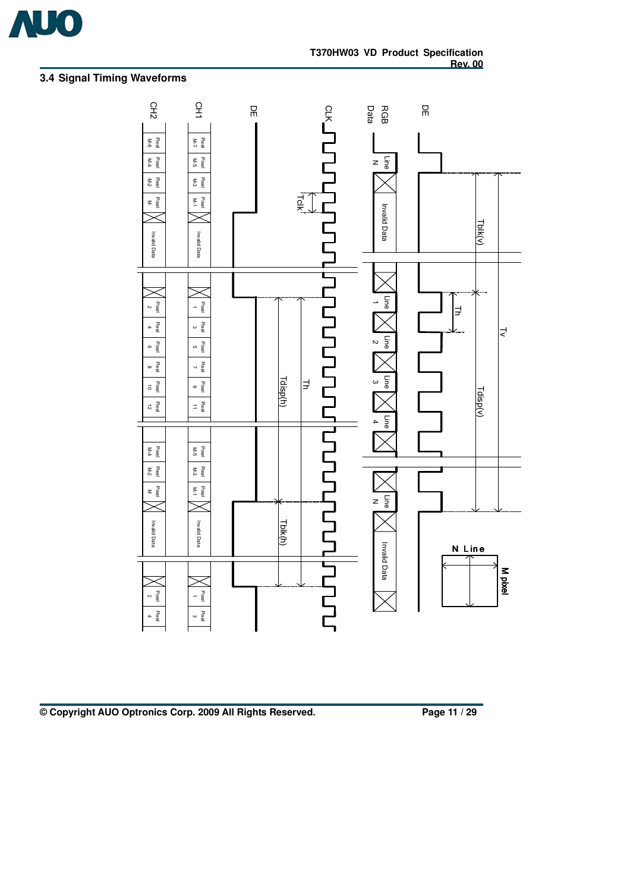

## **3.4 Signal Timing Waveforms**



### **© Copyright AUO Optronics Corp. 2009 All Rights Reserved. Page 11 / 29**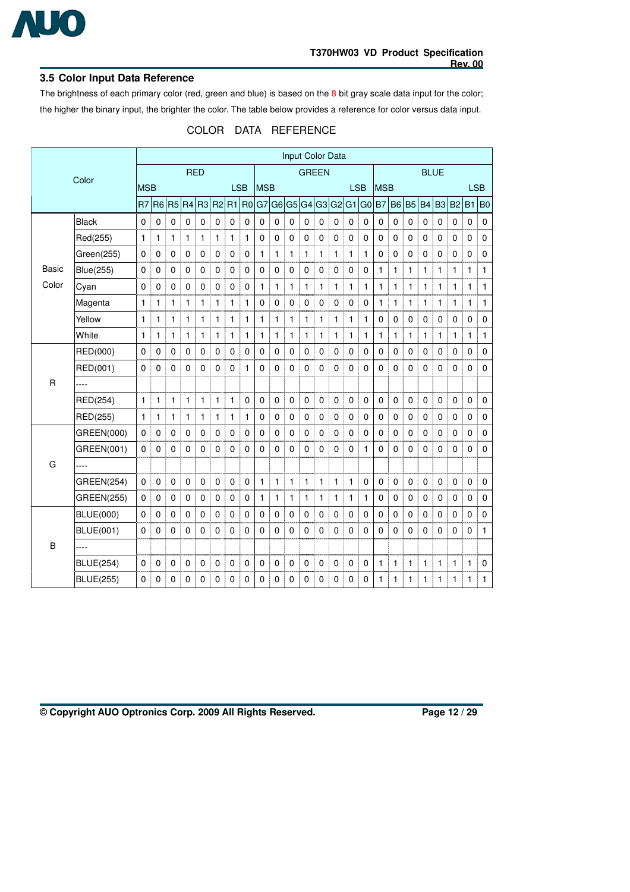

#### **3.5 Color Input Data Reference**

The brightness of each primary color (red, green and blue) is based on the 8 bit gray scale data input for the color; the higher the binary input, the brighter the color. The table below provides a reference for color versus data input.

|  | COLOR DATA REFERENCE |
|--|----------------------|
|--|----------------------|

|              |                   |                |                |                |                |                |                |                |                |              |                |                | Input Color Data |                |              |            |                |                  |             |              |             |                |              |              |                |
|--------------|-------------------|----------------|----------------|----------------|----------------|----------------|----------------|----------------|----------------|--------------|----------------|----------------|------------------|----------------|--------------|------------|----------------|------------------|-------------|--------------|-------------|----------------|--------------|--------------|----------------|
|              | Color             | <b>RED</b>     |                |                |                |                |                |                |                | <b>GREEN</b> |                |                |                  |                | <b>BLUE</b>  |            |                |                  |             |              |             |                |              |              |                |
|              |                   | <b>MSB</b>     |                |                |                |                |                | <b>LSB</b>     |                | <b>MSB</b>   |                |                |                  |                |              | <b>LSB</b> |                | <b>MSB</b>       |             |              |             |                |              |              | <b>LSB</b>     |
|              |                   | R <sub>7</sub> | R <sub>6</sub> | R <sub>5</sub> | R4             | R <sub>3</sub> | R <sub>2</sub> | R <sub>1</sub> | R <sub>0</sub> | G7           | G <sub>6</sub> | G <sub>5</sub> | G4               | G <sub>3</sub> |              | G2 G1      | G <sub>0</sub> | <b>B7</b>        | <b>B6</b>   | <b>B5</b>    | <b>B4</b>   | B <sub>3</sub> | <b>B2</b>    | B1           | B <sub>0</sub> |
|              | Black             | $\mathbf 0$    | 0              | $\pmb{0}$      | $\overline{0}$ | $\pmb{0}$      | $\mathbf 0$    | $\pmb{0}$      | 0              | $\pmb{0}$    | $\mathbf 0$    | $\mathbf 0$    | $\pmb{0}$        | $\mathbf 0$    | $\pmb{0}$    | 0          | $\mathbf 0$    | $\mathbf 0$      | $\mathbf 0$ | $\pmb{0}$    | $\mathbf 0$ | $\mathbf 0$    | $\mathbf 0$  | $\mathbf 0$  | $\pmb{0}$      |
|              | Red(255)          | 1              | 1              | 1              | $\mathbf{1}$   | 1              | 1              | 1              | 1              | 0            | 0              | 0              | 0                | $\mathbf 0$    | 0            | 0          | $\mathbf 0$    | 0                | 0           | 0            | 0           | $\mathbf 0$    | 0            | 0            | $\pmb{0}$      |
|              | Green(255)        | $\mathbf 0$    | 0              | 0              | $\mathbf 0$    | 0              | $\mathbf 0$    | $\mathbf 0$    | 0              | 1            | 1              | $\mathbf{1}$   | 1                | 1              | 1            | 1          | $\mathbf{1}$   | 0<br>I           | $\pmb{0}$   | $\mathbf 0$  | 0           | $\mathbf 0$    | 0            | $\mathbf 0$  | $\pmb{0}$      |
| <b>Basic</b> | <b>Blue(255)</b>  | 0              | 0              | $\mathbf 0$    | 0              | 0              | $\mathbf 0$    | 0              | 0              | 0            | $\mathbf 0$    | 0              | $\mathbf 0$      | $\mathbf 0$    | 0            | 0          | 0              | $\mathbf{1}$     | 1           | 1            | 1           | $\mathbf{1}$   | 1            | 1            | $\mathbf{1}$   |
| Color        | Cyan              | 0              | 0              | $\mathbf 0$    | $\overline{0}$ | 0              | $\mathbf 0$    | $\mathbf 0$    | $\mathbf 0$    | $\mathbf{1}$ | 1              | $\mathbf{1}$   | $\mathbf{1}$     | $\mathbf{1}$   | $\mathbf{1}$ | 1          | $\mathbf{1}$   | $\mathbf{1}$     | 1           | $\mathbf{1}$ | 1           | 1              | $\mathbf{1}$ | $\mathbf{1}$ | $\mathbf{1}$   |
|              | Magenta           | $\mathbf{1}$   | 1              | 1              | 1              | 1              | $\mathbf{1}$   | 1              | 1              | $\mathbf 0$  | 0              | $\mathbf 0$    | $\mathbf 0$      | $\mathbf 0$    | 0            | 0          | $\mathbf 0$    | 1<br>I           | 1           | $\mathbf{1}$ | 1           | 1              | 1            | 1            | 1              |
|              | Yellow            | 1              | 1              | 1              | 1              | 1              | 1              | 1              | 1              | 1            | 1              | $\mathbf{1}$   | 1                | 1              | 1            | 1          | 1              | $\mathbf 0$      | $\mathbf 0$ | $\mathbf 0$  | 0           | $\mathbf 0$    | $\mathbf 0$  | $\mathbf 0$  | $\pmb{0}$      |
|              | White             | $\mathbf{1}$   | 1              | 1              | $\mathbf{1}$   | 1              | $\mathbf{1}$   | 1              | 1              | $\mathbf{1}$ | 1              | $\mathbf{1}$   | 1                | 1              | $\mathbf{1}$ | 1          | $\mathbf{1}$   | 1                | 1           | $\mathbf{1}$ | 1           | 1              | 1            | $\mathbf{1}$ | $\mathbf{1}$   |
|              | RED(000)          | 0              | 0              | 0              | $\mathbf 0$    | 0              | $\mathbf 0$    | $\mathbf 0$    | 0              | 0            | 0              | $\pmb{0}$      | $\mathbf 0$      | 0              | 0            | 0          | $\pmb{0}$      | $\mathbf 0$      | $\mathbf 0$ | 0            | $\mathbf 0$ | $\pmb{0}$      | $\pmb{0}$    | $\mathbf 0$  | $\pmb{0}$      |
|              | RED(001)          | 0              | 0              | 0              | $\mathbf 0$    | 0              | $\mathbf 0$    | 0              | 1              | 0            | 0              | $\mathbf 0$    | $\mathbf 0$      | $\mathbf 0$    | $\mathbf 0$  | 0          | $\mathbf{0}$   | 0                | $\mathbf 0$ | $\mathbf 0$  | 0           | $\mathbf 0$    | $\mathbf 0$  | $\mathbf 0$  | $\mathbf 0$    |
| $\mathsf{R}$ | ----              |                |                |                |                |                |                |                |                |              |                |                |                  |                |              |            |                |                  |             |              |             |                |              |              |                |
|              | RED(254)          | $\mathbf{1}$   | 1              | 1              | $\mathbf{1}$   | 1              | $\mathbf{1}$   | 1              | 0              | 0            | 0              | $\mathbf 0$    | $\mathbf 0$      | $\mathbf 0$    | 0            | 0          | $\mathbf 0$    | $\mathbf 0$      | $\mathbf 0$ | $\mathbf 0$  | 0           | $\mathbf 0$    | $\mathbf 0$  | $\mathbf 0$  | $\mathbf 0$    |
|              | RED(255)          | $\mathbf{1}$   | $\mathbf{1}$   | $\mathbf{1}$   | $\mathbf{1}$   | 1              | $\mathbf{1}$   | $\mathbf{1}$   | $\mathbf{1}$   | 0            | 0              | $\mathsf 0$    | $\mathbf 0$      | $\mathbf 0$    | $\mathbf 0$  | 0          | $\mathbf 0$    | $\mathbf 0$      | $\mathsf 0$ | $\mathbf 0$  | $\mathbf 0$ | $\pmb{0}$      | $\mathbf 0$  | $\mathbf 0$  | $\pmb{0}$      |
|              | GREEN(000)        | 0              | $\mathbf 0$    | 0              | $\mathbf 0$    | 0              | $\mathbf 0$    | 0              | 0              | 0            | 0              | 0              | $\mathbf 0$      | 0              | 0            | 0          | 0              | $\mathbf 0$<br>I | 0           | $\mathbf 0$  | 0           | 0              | 0            | 0            | $\mathbf 0$    |
|              | GREEN(001)        | 0              | 0              | 0              | $\Omega$       | 0              | $\mathbf 0$    | 0              | 0              | 0            | 0              | $\mathbf 0$    | $\Omega$         | $\mathbf 0$    | 0            | 0          | 1              | $\Omega$         | $\Omega$    | 0            | 0           | $\mathbf 0$    | $\Omega$     | $\Omega$     | $\mathbf 0$    |
| G            | ----              |                |                |                |                |                |                |                |                |              |                |                |                  |                |              |            |                |                  |             |              |             |                |              |              |                |
|              | <b>GREEN(254)</b> | 0              | 0              | $\mathbf 0$    | $\mathbf 0$    | 0              | $\mathbf 0$    | $\mathbf 0$    | 0              | $\mathbf{1}$ | 1              | $\mathbf{1}$   | $\mathbf{1}$     | $\mathbf{1}$   | $\mathbf{1}$ | 1          | $\mathbf 0$    | $\mathbf 0$      | $\mathbf 0$ | $\mathbf 0$  | 0           | $\mathbf 0$    | $\mathbf 0$  | $\mathbf 0$  | $\mathbf 0$    |
|              | <b>GREEN(255)</b> | $\pmb{0}$      | 0              | $\mathbf 0$    | $\mathbf 0$    | 0              | $\mathbf 0$    | 0              | $\pmb{0}$      | $\mathbf{1}$ | 1              | $\mathbf{1}$   | 1                | 1              | $\mathbf{1}$ | 1          | $\mathbf{1}$   | $\mathbf 0$      | $\pmb{0}$   | $\mathbf 0$  | $\mathbf 0$ | $\mathbf 0$    | $\mathbf 0$  | $\mathbf 0$  | $\pmb{0}$      |
|              | <b>BLUE(000)</b>  | 0              | $\mathbf 0$    | 0              | 0              | 0              | $\mathbf 0$    | $\mathbf 0$    | 0              | 0            | 0              | 0              | $\mathbf 0$      | $\mathbf 0$    | 0            | 0          | 0              | $\mathbf 0$      | 0           | $\mathbf 0$  | $\mathbf 0$ | $\mathbf 0$    | $\mathbf 0$  | 0            | 0              |
|              | <b>BLUE(001)</b>  | 0              | 0              | 0              | $\Omega$       | 0              | $\mathbf 0$    | 0              | $\mathbf 0$    | 0            | 0              | 0              | $\mathbf 0$      | $\mathbf 0$    | 0            | 0          | 0              | $\mathbf 0$      | $\mathbf 0$ | $\Omega$     | $\Omega$    | $\Omega$       | $\Omega$     | $\mathbf 0$  | $\mathbf{1}$   |
| B            | ----              |                |                |                |                |                |                |                |                |              |                |                |                  |                |              |            |                |                  |             |              |             |                |              |              |                |
|              | <b>BLUE(254)</b>  | 0              | 0              | $\pmb{0}$      | 0              | 0              | $\mathbf 0$    | 0              | 0              | 0            | 0              | $\pmb{0}$      | $\mathbf 0$      | $\mathbf 0$    | 0            | 0          | $\pmb{0}$      | 1                | 1           | 1            | 1           | 1              | 1            | 1            | $\mathbf 0$    |
|              | <b>BLUE(255)</b>  | 0              | $\Omega$       | 0              | $\Omega$       | 0              | 0              | 0              | 0              | 0            | 0              | 0              | 0                | $\mathbf{0}$   | 0            | 0          | 0              | 1                | 1           | 1            | 1           | 1              | 1            | $\mathbf{1}$ | 1              |

**© Copyright AUO Optronics Corp. 2009 All Rights Reserved. Page 12 / 29**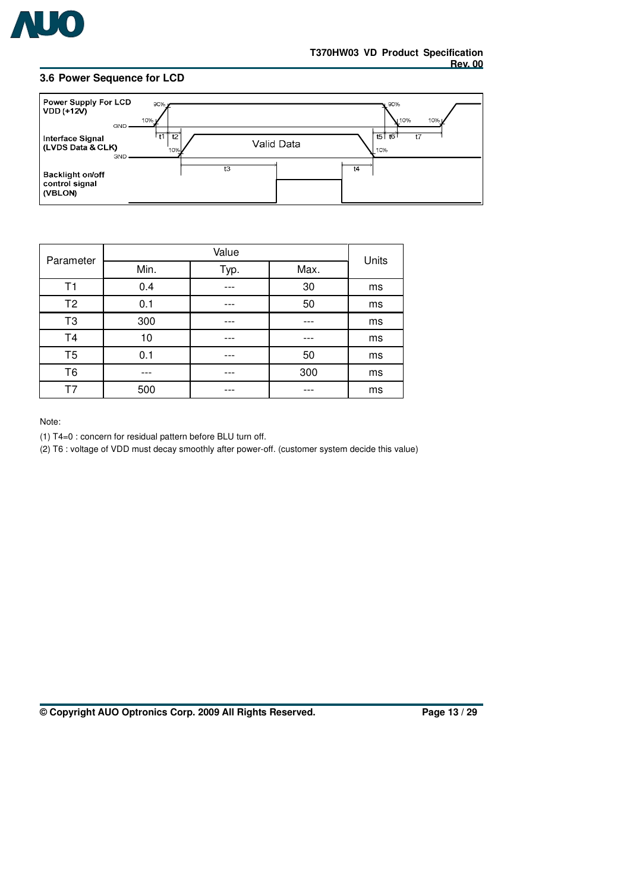

#### **3.6 Power Sequence for LCD**



| Parameter      |      | Units |      |    |  |  |
|----------------|------|-------|------|----|--|--|
|                | Min. | Typ.  | Max. |    |  |  |
| Τ1             | 0.4  |       | 30   | ms |  |  |
| T <sub>2</sub> | 0.1  |       | 50   | ms |  |  |
| T <sub>3</sub> | 300  |       |      | ms |  |  |
| T <sub>4</sub> | 10   |       |      | ms |  |  |
| T5             | 0.1  |       | 50   | ms |  |  |
| T <sub>6</sub> | ---  |       | 300  | ms |  |  |
| T7             | 500  | ---   |      | ms |  |  |

Note:

(1) T4=0 : concern for residual pattern before BLU turn off.

(2) T6 : voltage of VDD must decay smoothly after power-off. (customer system decide this value)

**© Copyright AUO Optronics Corp. 2009 All Rights Reserved. Page 13 / 29**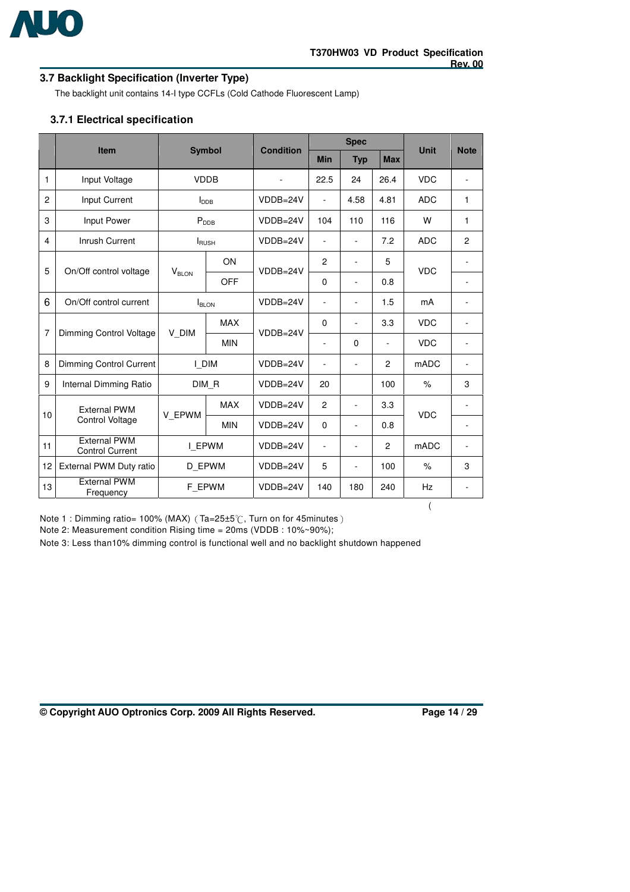

## **3.7 Backlight Specification (Inverter Type)**

The backlight unit contains 14-I type CCFLs (Cold Cathode Fluorescent Lamp)

## **3.7.1 Electrical specification**

|                |                                               |                   |                   | <b>Condition</b> |                | <b>Spec</b>              |            | <b>Unit</b> | <b>Note</b>    |
|----------------|-----------------------------------------------|-------------------|-------------------|------------------|----------------|--------------------------|------------|-------------|----------------|
|                | Item                                          |                   | <b>Symbol</b>     |                  | <b>Min</b>     | <b>Typ</b>               | <b>Max</b> |             |                |
| 1              | Input Voltage                                 |                   | <b>VDDB</b>       |                  | 22.5           | 24                       | 26.4       | <b>VDC</b>  |                |
| $\overline{c}$ | Input Current                                 |                   | I <sub>DB</sub>   | $VDDB=24V$       | $\blacksquare$ | 4.58                     | 4.81       | <b>ADC</b>  | 1              |
| 3              | Input Power                                   |                   | $P_{\text{DDB}}$  | $VDDB=24V$       | 104            | 110                      | 116        | W           | $\mathbf{1}$   |
| 4              | Inrush Current                                |                   | $I_{\rm RUSH}$    | $VDDB=24V$       | ٠              | L.                       | 7.2        | <b>ADC</b>  | $\overline{2}$ |
|                |                                               | ON                |                   |                  | $\overline{2}$ | ä,                       | 5          |             |                |
| 5              | On/Off control voltage                        | V <sub>BLON</sub> | <b>OFF</b>        | $VDDB=24V$       | 0              | ÷,                       | 0.8        | <b>VDC</b>  |                |
| 6              | On/Off control current                        |                   | I <sub>BLON</sub> |                  | $\blacksquare$ | Ξ.                       | 1.5        | mA          |                |
| $\overline{7}$ |                                               | V DIM             | <b>MAX</b>        |                  | 0              | ä,                       | 3.3        | <b>VDC</b>  |                |
|                | Dimming Control Voltage                       |                   | <b>MIN</b>        | VDDB=24V         | $\blacksquare$ | 0                        | ÷.         | <b>VDC</b>  |                |
| 8              | Dimming Control Current                       |                   | I DIM             | VDDB=24V         | ÷.             | ä,                       | 2          | mADC        |                |
| 9              | Internal Dimming Ratio                        |                   | DIM R             | VDDB=24V         | 20             |                          | 100        | $\%$        | 3              |
| 10             | <b>External PWM</b>                           |                   | <b>MAX</b>        | VDDB=24V         | 2              | Ξ.                       | 3.3        | <b>VDC</b>  |                |
|                | Control Voltage                               | V EPWM            | <b>MIN</b>        | $VDDB=24V$       | $\Omega$       | $\overline{\phantom{0}}$ | 0.8        |             | ۰              |
| 11             | <b>External PWM</b><br><b>Control Current</b> |                   | I EPWM            | $VDDB=24V$       | ٠              | ÷,                       | 2          | <b>mADC</b> |                |
| 12             | External PWM Duty ratio                       |                   | D EPWM            | VDDB=24V         | 5              | ۰                        | 100        | $\%$        | 3              |
| 13             | <b>External PWM</b><br>Frequency              |                   | F_EPWM            | $VDDB=24V$       | 140            | 180                      | 240        | Hz          |                |

Note 1 : Dimming ratio= 100% (MAX) (Ta=25±5°C, Turn on for 45minutes) Note 2: Measurement condition Rising time = 20ms (VDDB : 10%~90%);

Note 3: Less than10% dimming control is functional well and no backlight shutdown happened

**© Copyright AUO Optronics Corp. 2009 All Rights Reserved. Page 14 / 29**

(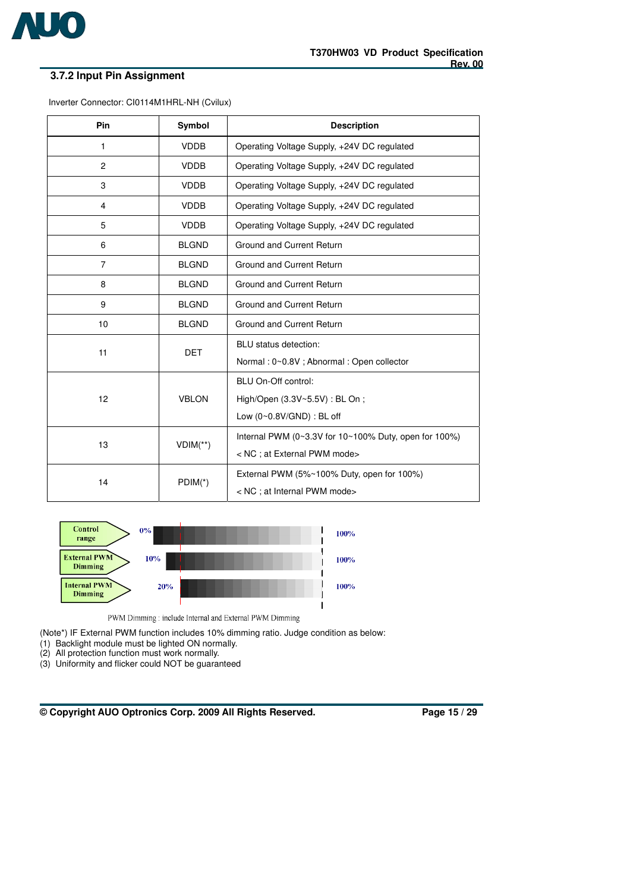

## **3.7.2 Input Pin Assignment**

| Inverter Connector: CI0114M1HRL-NH (Cvilux) |  |  |  |
|---------------------------------------------|--|--|--|
|---------------------------------------------|--|--|--|

| Pin            | Symbol       | <b>Description</b>                                    |  |  |
|----------------|--------------|-------------------------------------------------------|--|--|
| $\mathbf{1}$   | <b>VDDB</b>  | Operating Voltage Supply, +24V DC regulated           |  |  |
| $\overline{2}$ | <b>VDDB</b>  | Operating Voltage Supply, +24V DC regulated           |  |  |
| 3              | <b>VDDB</b>  | Operating Voltage Supply, +24V DC regulated           |  |  |
| $\overline{4}$ | <b>VDDB</b>  | Operating Voltage Supply, +24V DC regulated           |  |  |
| 5              | <b>VDDB</b>  | Operating Voltage Supply, +24V DC regulated           |  |  |
| 6              | <b>BLGND</b> | Ground and Current Return                             |  |  |
| $\overline{7}$ | <b>BLGND</b> | Ground and Current Return                             |  |  |
| 8              | <b>BLGND</b> | Ground and Current Return                             |  |  |
| 9              | <b>BLGND</b> | Ground and Current Return                             |  |  |
| 10             | <b>BLGND</b> | Ground and Current Return                             |  |  |
| 11             | <b>DET</b>   | BLU status detection:                                 |  |  |
|                |              | Normal: 0~0.8V; Abnormal: Open collector              |  |  |
|                |              | BLU On-Off control:                                   |  |  |
| 12             | <b>VBLON</b> | High/Open (3.3V~5.5V): BL On;                         |  |  |
|                |              | Low (0~0.8V/GND) : BL off                             |  |  |
|                |              | Internal PWM (0~3.3V for 10~100% Duty, open for 100%) |  |  |
| 13             | $VDIM(**)$   | < NC ; at External PWM mode>                          |  |  |
| 14             |              | External PWM (5%~100% Duty, open for 100%)            |  |  |
|                | $PDIM(*)$    | < NC ; at Internal PWM mode>                          |  |  |



PWM Dimming : include Internal and External PWM Dimming

(Note\*) IF External PWM function includes 10% dimming ratio. Judge condition as below:

- (1) Backlight module must be lighted ON normally.
- (2) All protection function must work normally.
- (3) Uniformity and flicker could NOT be guaranteed

**© Copyright AUO Optronics Corp. 2009 All Rights Reserved. Page 15 / 29**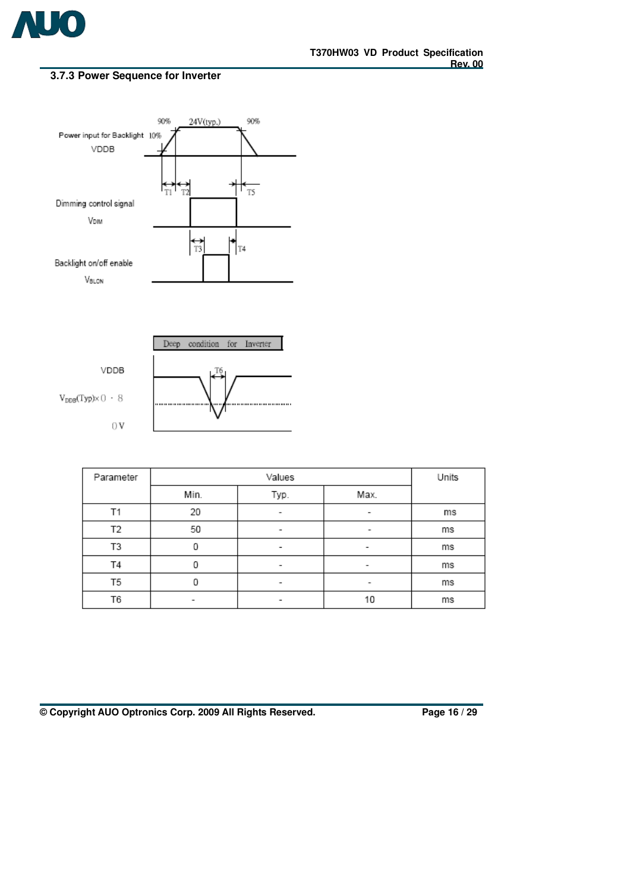

## **3.7.3 Power Sequence for Inverter**





| Parameter |      | Units |                          |    |
|-----------|------|-------|--------------------------|----|
|           | Min. | Typ.  | Max.                     |    |
| Τ1        | 20   | ۰     | ۰                        | ms |
| Т2        | 50   | ۰     | $\overline{\phantom{a}}$ | ms |
| T3        | 0    | ۰     | $\overline{\phantom{a}}$ | ms |
| T4        |      | -     | -                        | ms |
| T5        |      | -     | $\overline{\phantom{a}}$ | ms |
| T6        | -    | -     | 10                       | ms |

**© Copyright AUO Optronics Corp. 2009 All Rights Reserved. Page 16 / 29**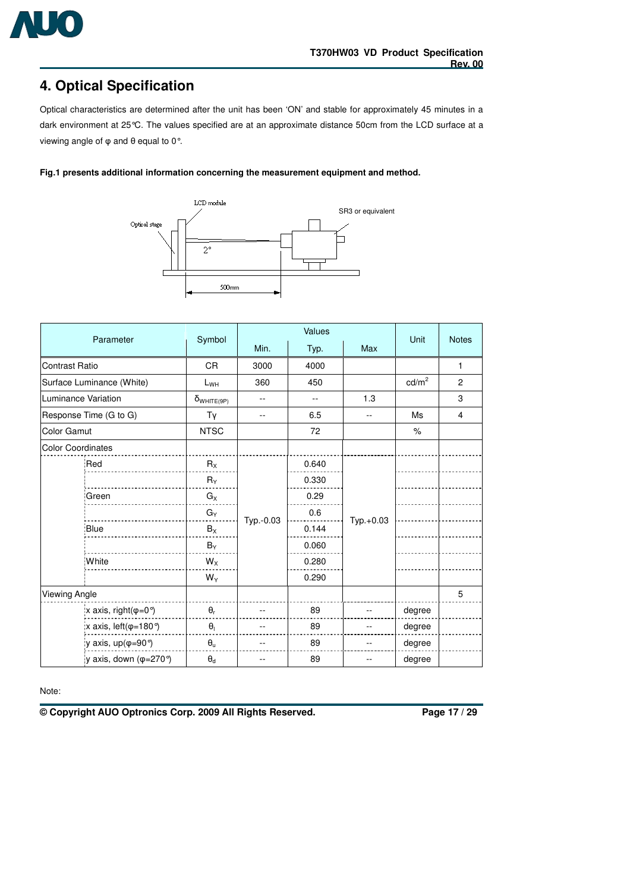

## **4. Optical Specification**

Optical characteristics are determined after the unit has been 'ON' and stable for approximately 45 minutes in a dark environment at 25°C. The values specified are at an approximate distance 50cm from the LCD surface at a viewing angle of  $\varphi$  and  $\theta$  equal to 0°.

**Fig.1 presents additional information concerning the measurement equipment and method.** 



|                                                    |                      | Values    |       |           |                   |                |
|----------------------------------------------------|----------------------|-----------|-------|-----------|-------------------|----------------|
| Parameter                                          | Symbol               | Min.      | Typ.  | Max       | Unit              | <b>Notes</b>   |
| <b>Contrast Ratio</b>                              | <b>CR</b>            | 3000      | 4000  |           |                   | 1              |
| Surface Luminance (White)                          | $L_{WH}$             | 360       | 450   |           | cd/m <sup>2</sup> | $\overline{c}$ |
| Luminance Variation                                | $\delta_{WHITE(9P)}$ | --        | $-$   | 1.3       |                   | 3              |
| Response Time (G to G)                             | Tγ                   | --        | 6.5   | --        | Ms                | 4              |
| <b>Color Gamut</b>                                 | <b>NTSC</b>          |           | 72    |           | $\%$              |                |
| <b>Color Coordinates</b>                           |                      |           |       |           |                   |                |
| Red                                                | $R_{X}$              |           | 0.640 |           |                   |                |
|                                                    | $R_Y$                | Typ.-0.03 | 0.330 | Typ.+0.03 |                   |                |
| Green                                              | $G_X$                |           | 0.29  |           |                   |                |
|                                                    | $G_Y$                |           | 0.6   |           |                   |                |
| Blue                                               | $B_{\rm X}$          |           | 0.144 |           |                   |                |
|                                                    | $B_Y$                |           | 0.060 |           |                   |                |
| White                                              | $W_X$                |           | 0.280 |           |                   |                |
|                                                    | $W_Y$                |           | 0.290 |           |                   |                |
| Viewing Angle                                      |                      |           |       |           |                   | 5              |
| $x \text{ axis}, \text{ right}(\varphi = 0^\circ)$ | $\theta_r$           |           | 89    |           | degree            |                |
| x axis, $left(\phi=180^\circ\right)$               | $\theta_1$           |           | 89    |           | degree            |                |
| y axis, up( $\varphi = 90^{\circ}$ )               | $\theta_u$           |           | 89    |           | degree            |                |
| y axis, down ( $\varphi$ =270°)                    | $\Theta_{\rm d}$     |           | 89    |           | degree            |                |

Note:

**© Copyright AUO Optronics Corp. 2009 All Rights Reserved. Page 17 / 29**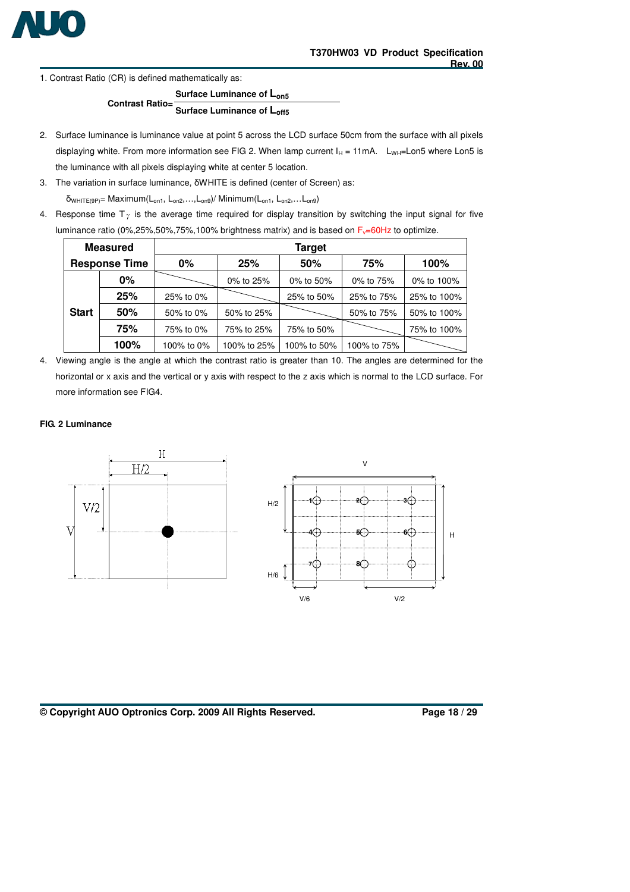

1. Contrast Ratio (CR) is defined mathematically as:

**Surface Luminance of Lon5 Contrast Ratio= Surface Luminance of Loff5** 

- 2. Surface luminance is luminance value at point 5 across the LCD surface 50cm from the surface with all pixels displaying white. From more information see FIG 2. When lamp current  $I_H = 11 \text{ mA}$ . L<sub>WH</sub>=Lon5 where Lon5 is the luminance with all pixels displaying white at center 5 location.
- 3. The variation in surface luminance,  $\delta$ WHITE is defined (center of Screen) as:

 $\delta_{WHITE(9P)}$ = Maximum(L<sub>on1</sub>, L<sub>on2</sub>,...,L<sub>on9</sub>)/ Minimum(L<sub>on1</sub>, L<sub>on2</sub>,...L<sub>on9</sub>)

4. Response time  $T_{\gamma}$  is the average time required for display transition by switching the input signal for five luminance ratio (0%,25%,50%,75%,100% brightness matrix) and is based on  $F_v=60$ Hz to optimize.

| <b>Measured</b>      |       | <b>Target</b> |             |             |             |             |  |  |
|----------------------|-------|---------------|-------------|-------------|-------------|-------------|--|--|
| <b>Response Time</b> |       | $0\%$         | 25%         | 50%         | 75%         | 100%        |  |  |
|                      | $0\%$ |               | 0% to 25%   | 0% to 50%   | 0% to 75%   | 0% to 100%  |  |  |
| <b>Start</b>         | 25%   | 25% to 0%     |             | 25% to 50%  | 25% to 75%  | 25% to 100% |  |  |
|                      | 50%   | 50% to 0%     | 50% to 25%  |             | 50% to 75%  | 50% to 100% |  |  |
|                      | 75%   | 75% to 0%     | 75% to 25%  | 75% to 50%  |             | 75% to 100% |  |  |
|                      | 100%  | 100% to 0%    | 100% to 25% | 100% to 50% | 100% to 75% |             |  |  |

4. Viewing angle is the angle at which the contrast ratio is greater than 10. The angles are determined for the horizontal or x axis and the vertical or y axis with respect to the z axis which is normal to the LCD surface. For more information see FIG4.

#### **FIG. 2 Luminance**



#### **© Copyright AUO Optronics Corp. 2009 All Rights Reserved. Page 18 / 29**

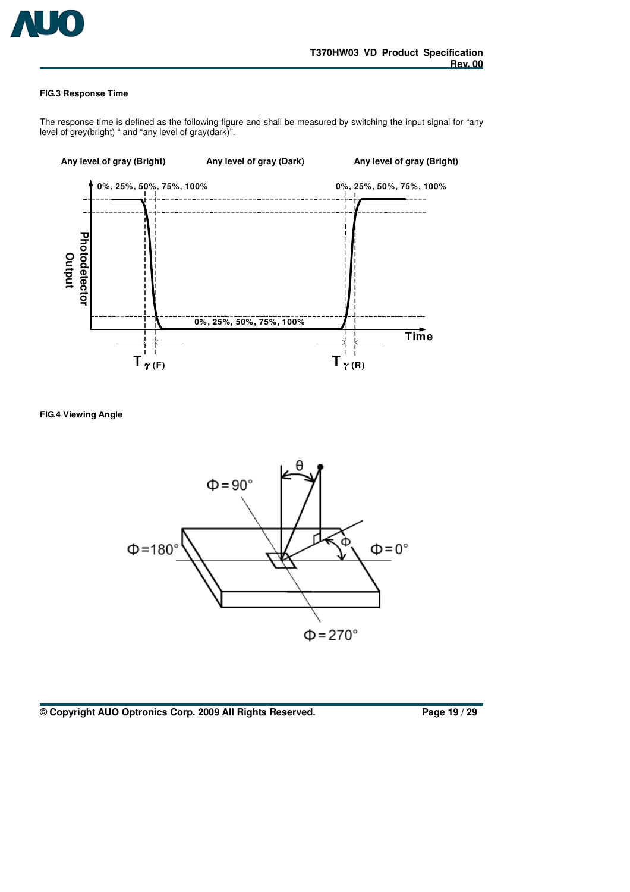

#### **FIG.3 Response Time**

The response time is defined as the following figure and shall be measured by switching the input signal for "any level of grey(bright) " and "any level of gray(dark)".



**FIG.4 Viewing Angle** 



**© Copyright AUO Optronics Corp. 2009 All Rights Reserved. Page 19 / 29**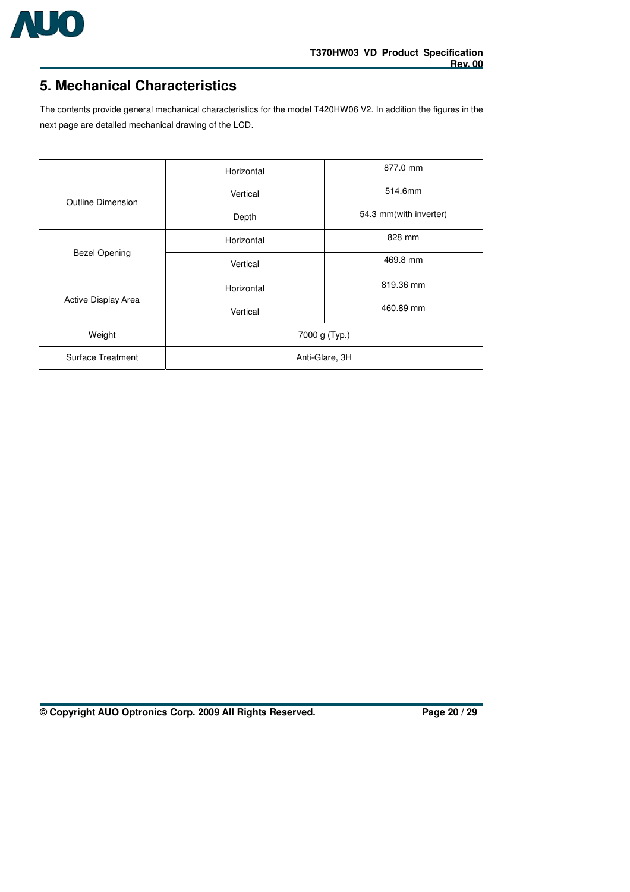

## **5. Mechanical Characteristics**

The contents provide general mechanical characteristics for the model T420HW06 V2. In addition the figures in the next page are detailed mechanical drawing of the LCD.

|                          | Horizontal     | 877.0 mm               |  |  |
|--------------------------|----------------|------------------------|--|--|
| <b>Outline Dimension</b> | Vertical       | 514.6mm                |  |  |
|                          | Depth          | 54.3 mm(with inverter) |  |  |
| <b>Bezel Opening</b>     | Horizontal     | 828 mm                 |  |  |
|                          | Vertical       | 469.8 mm               |  |  |
| Active Display Area      | Horizontal     | 819.36 mm              |  |  |
|                          | Vertical       | 460.89 mm              |  |  |
| Weight                   | 7000 g (Typ.)  |                        |  |  |
| Surface Treatment        | Anti-Glare, 3H |                        |  |  |

**© Copyright AUO Optronics Corp. 2009 All Rights Reserved. Page 20 / 29**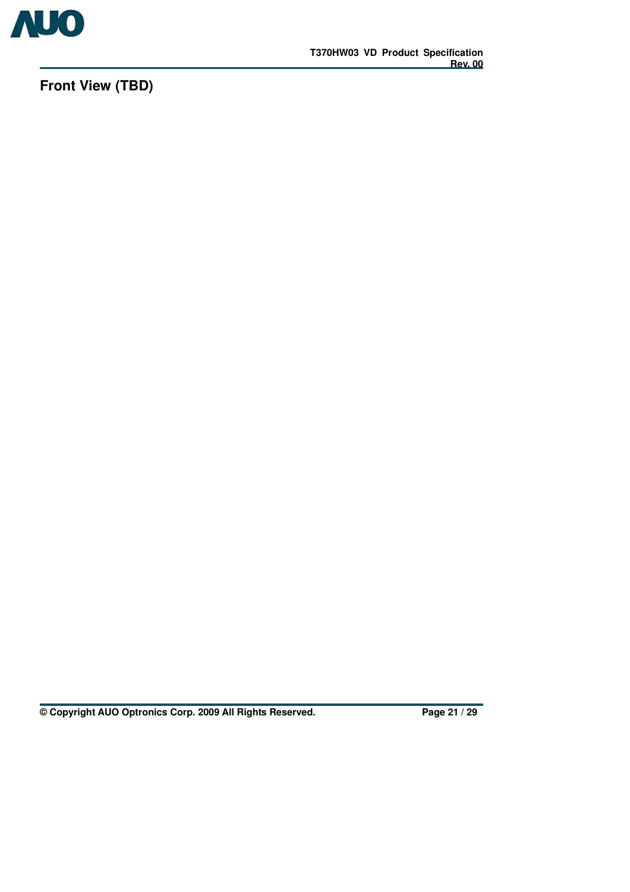

**Front View (TBD)** 

**© Copyright AUO Optronics Corp. 2009 All Rights Reserved. Page 21 / 29**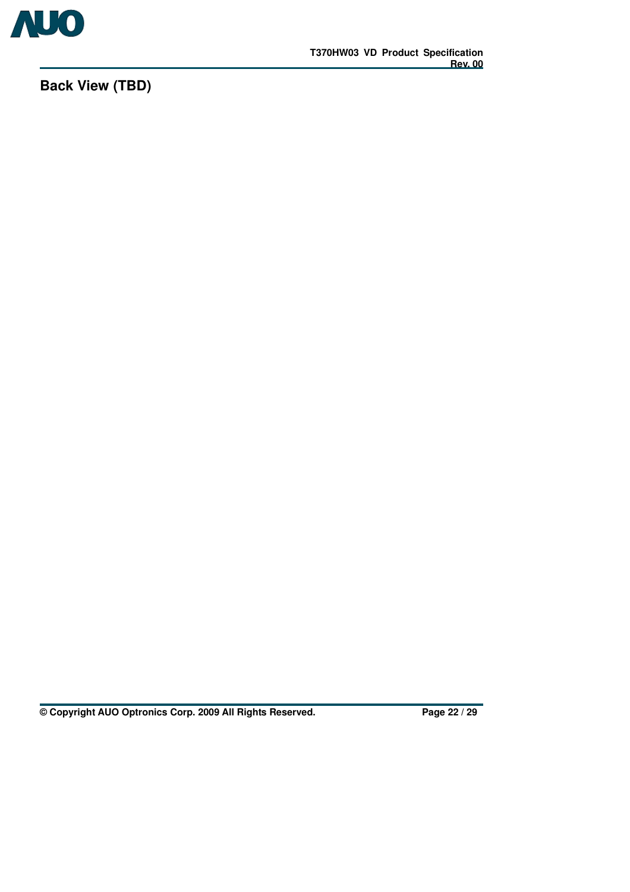

**Back View (TBD)** 

**© Copyright AUO Optronics Corp. 2009 All Rights Reserved. Page 22 / 29**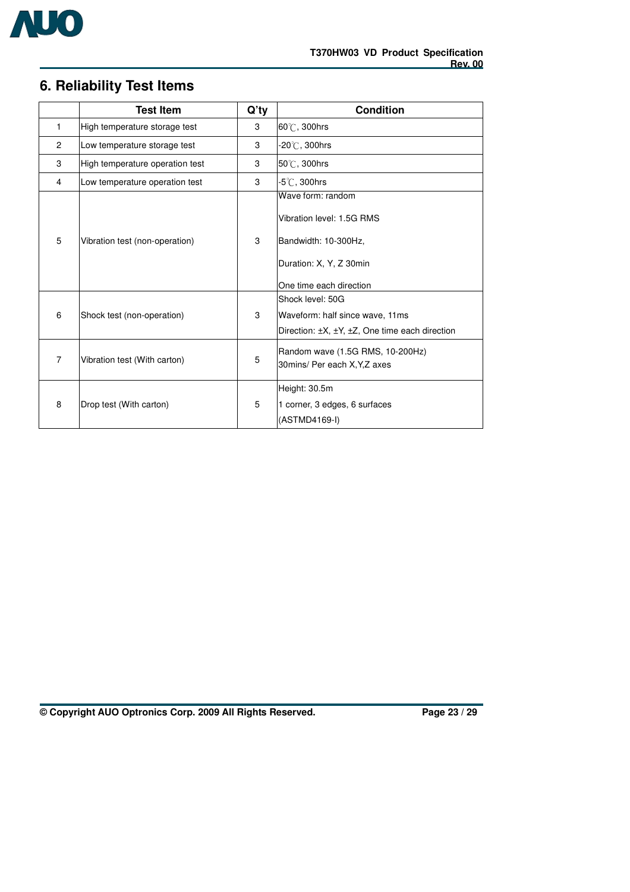

## **6. Reliability Test Items**

|                | <b>Test Item</b>                | Q'ty | <b>Condition</b>                                                                                                             |
|----------------|---------------------------------|------|------------------------------------------------------------------------------------------------------------------------------|
| 1              | High temperature storage test   | 3    | 60°C, 300hrs                                                                                                                 |
| 2              | Low temperature storage test    | 3    | $-20^{\circ}$ C. 300hrs                                                                                                      |
| 3              | High temperature operation test | 3    | $50^{\circ}$ C, 300hrs                                                                                                       |
| 4              | Low temperature operation test  | 3    | -5 $^\circ\!{\rm C}$ , 300hrs                                                                                                |
| 5              | Vibration test (non-operation)  | 3    | Wave form: random<br>Vibration level: 1.5G RMS<br>Bandwidth: 10-300Hz.<br>Duration: X, Y, Z 30min<br>One time each direction |
| 6              | Shock test (non-operation)      | 3    | Shock level: 50G<br>Waveform: half since wave, 11ms<br>Direction: ±X, ±Y, ±Z, One time each direction                        |
| $\overline{7}$ | Vibration test (With carton)    | 5    | Random wave (1.5G RMS, 10-200Hz)<br>30mins/ Per each X, Y, Z axes                                                            |
| 8              | Drop test (With carton)         | 5    | Height: 30.5m<br>1 corner, 3 edges, 6 surfaces<br>(ASTMD4169-I)                                                              |

**© Copyright AUO Optronics Corp. 2009 All Rights Reserved. Page 23 / 29**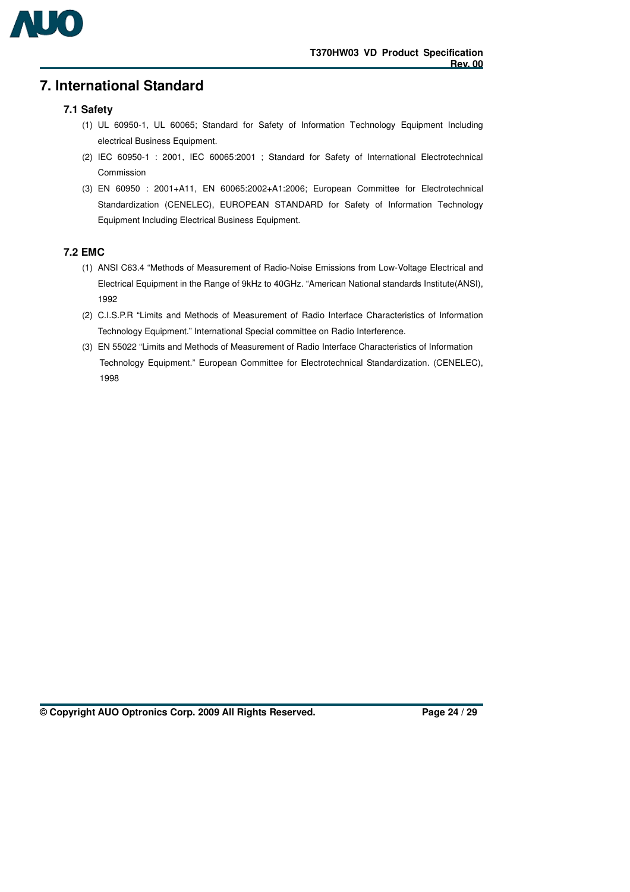

## **7. International Standard**

### **7.1 Safety**

- (1) UL 60950-1, UL 60065; Standard for Safety of Information Technology Equipment Including electrical Business Equipment.
- (2) IEC 60950-1 : 2001, IEC 60065:2001 ; Standard for Safety of International Electrotechnical Commission
- (3) EN 60950 : 2001+A11, EN 60065:2002+A1:2006; European Committee for Electrotechnical Standardization (CENELEC), EUROPEAN STANDARD for Safety of Information Technology Equipment Including Electrical Business Equipment.

### **7.2 EMC**

- (1) ANSI C63.4 "Methods of Measurement of Radio-Noise Emissions from Low-Voltage Electrical and Electrical Equipment in the Range of 9kHz to 40GHz. "American National standards Institute(ANSI), 1992
- (2) C.I.S.P.R "Limits and Methods of Measurement of Radio Interface Characteristics of Information Technology Equipment." International Special committee on Radio Interference.
- (3) EN 55022 "Limits and Methods of Measurement of Radio Interface Characteristics of Information Technology Equipment." European Committee for Electrotechnical Standardization. (CENELEC), 1998

**© Copyright AUO Optronics Corp. 2009 All Rights Reserved. Page 24 / 29**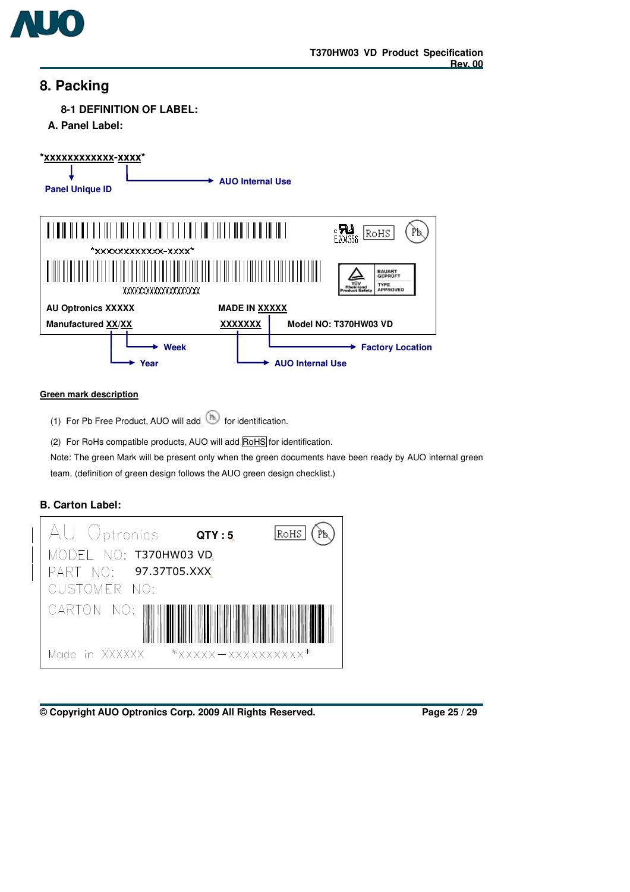

## **8. Packing**

**8-1 DEFINITION OF LABEL:** 

**A. Panel Label:** 



#### **Green mark description**

(1) For Pb Free Product, AUO will add  $\circled{f}$  for identification.

(2) For RoHs compatible products, AUO will add RoHS for identification.

Note: The green Mark will be present only when the green documents have been ready by AUO internal green team. (definition of green design follows the AUO green design checklist.)

## **B. Carton Label:**



**<sup>©</sup> Copyright AUO Optronics Corp. 2009 All Rights Reserved. Page 25 / 29**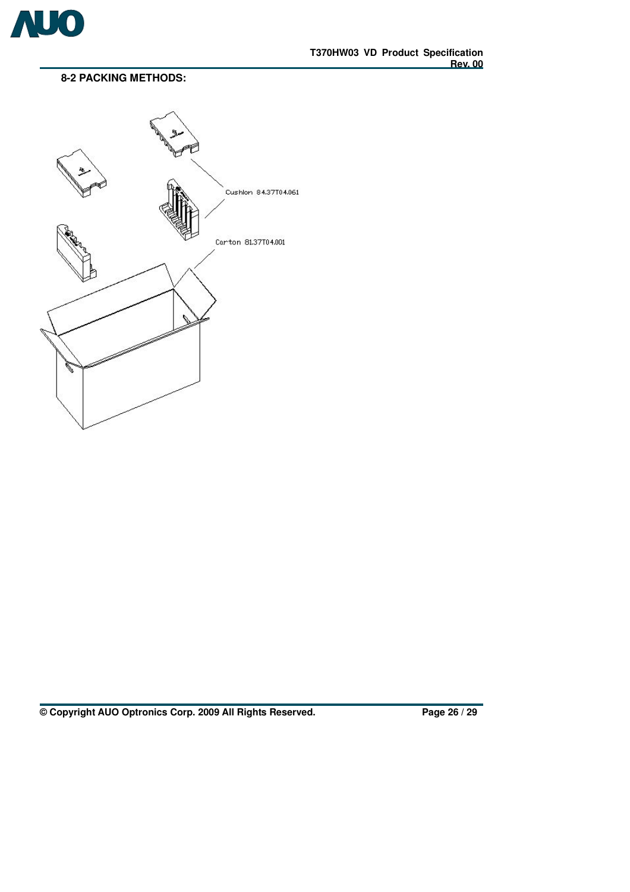

## **8-2 PACKING METHODS:**



**© Copyright AUO Optronics Corp. 2009 All Rights Reserved. Page 26 / 29**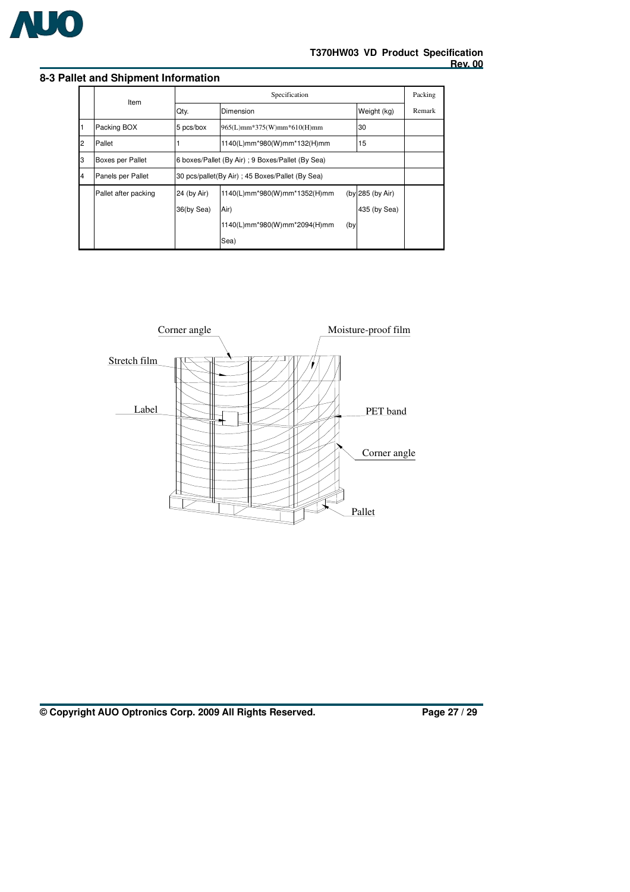

### **8-3 Pallet and Shipment Information**

|   | Item                 | Specification |                                                  |             |                  |  |  |
|---|----------------------|---------------|--------------------------------------------------|-------------|------------------|--|--|
|   |                      | Qty.          | Dimension                                        | Weight (kg) | Remark           |  |  |
|   | Packing BOX          | 5 pcs/box     | 30<br>965(L)mm*375(W)mm*610(H)mm                 |             |                  |  |  |
| 2 | Pallet               |               | 1140(L)mm*980(W)mm*132(H)mm                      |             | 15               |  |  |
| З | Boxes per Pallet     |               | 6 boxes/Pallet (By Air); 9 Boxes/Pallet (By Sea) |             |                  |  |  |
| 4 | Panels per Pallet    |               | 30 pcs/pallet(By Air); 45 Boxes/Pallet (By Sea)  |             |                  |  |  |
|   | Pallet after packing | 24 (by Air)   | 1140(L)mm*980(W)mm*1352(H)mm                     |             | (by 285 (by Air) |  |  |
|   |                      | 36(by Sea)    | Air)                                             |             | 435 (by Sea)     |  |  |
|   |                      |               | 1140(L)mm*980(W)mm*2094(H)mm                     | (by         |                  |  |  |
|   |                      |               | Sea)                                             |             |                  |  |  |



**© Copyright AUO Optronics Corp. 2009 All Rights Reserved. Page 27 / 29**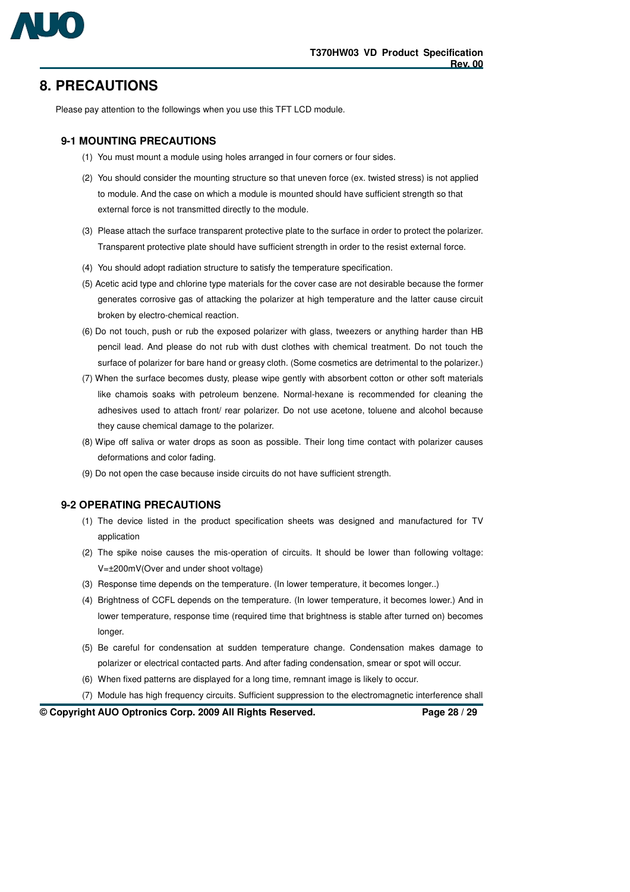

## **8. PRECAUTIONS**

Please pay attention to the followings when you use this TFT LCD module.

#### **9-1 MOUNTING PRECAUTIONS**

- (1) You must mount a module using holes arranged in four corners or four sides.
- (2) You should consider the mounting structure so that uneven force (ex. twisted stress) is not applied to module. And the case on which a module is mounted should have sufficient strength so that external force is not transmitted directly to the module.
- (3) Please attach the surface transparent protective plate to the surface in order to protect the polarizer. Transparent protective plate should have sufficient strength in order to the resist external force.
- (4) You should adopt radiation structure to satisfy the temperature specification.
- (5) Acetic acid type and chlorine type materials for the cover case are not desirable because the former generates corrosive gas of attacking the polarizer at high temperature and the latter cause circuit broken by electro-chemical reaction.
- (6) Do not touch, push or rub the exposed polarizer with glass, tweezers or anything harder than HB pencil lead. And please do not rub with dust clothes with chemical treatment. Do not touch the surface of polarizer for bare hand or greasy cloth. (Some cosmetics are detrimental to the polarizer.)
- (7) When the surface becomes dusty, please wipe gently with absorbent cotton or other soft materials like chamois soaks with petroleum benzene. Normal-hexane is recommended for cleaning the adhesives used to attach front/ rear polarizer. Do not use acetone, toluene and alcohol because they cause chemical damage to the polarizer.
- (8) Wipe off saliva or water drops as soon as possible. Their long time contact with polarizer causes deformations and color fading.
- (9) Do not open the case because inside circuits do not have sufficient strength.

#### **9-2 OPERATING PRECAUTIONS**

- (1) The device listed in the product specification sheets was designed and manufactured for TV application
- (2) The spike noise causes the mis-operation of circuits. It should be lower than following voltage: V=±200mV(Over and under shoot voltage)
- (3) Response time depends on the temperature. (In lower temperature, it becomes longer..)
- (4) Brightness of CCFL depends on the temperature. (In lower temperature, it becomes lower.) And in lower temperature, response time (required time that brightness is stable after turned on) becomes longer.
- (5) Be careful for condensation at sudden temperature change. Condensation makes damage to polarizer or electrical contacted parts. And after fading condensation, smear or spot will occur.
- (6) When fixed patterns are displayed for a long time, remnant image is likely to occur.
- (7) Module has high frequency circuits. Sufficient suppression to the electromagnetic interference shall

**© Copyright AUO Optronics Corp. 2009 All Rights Reserved. Page 28 / 29**